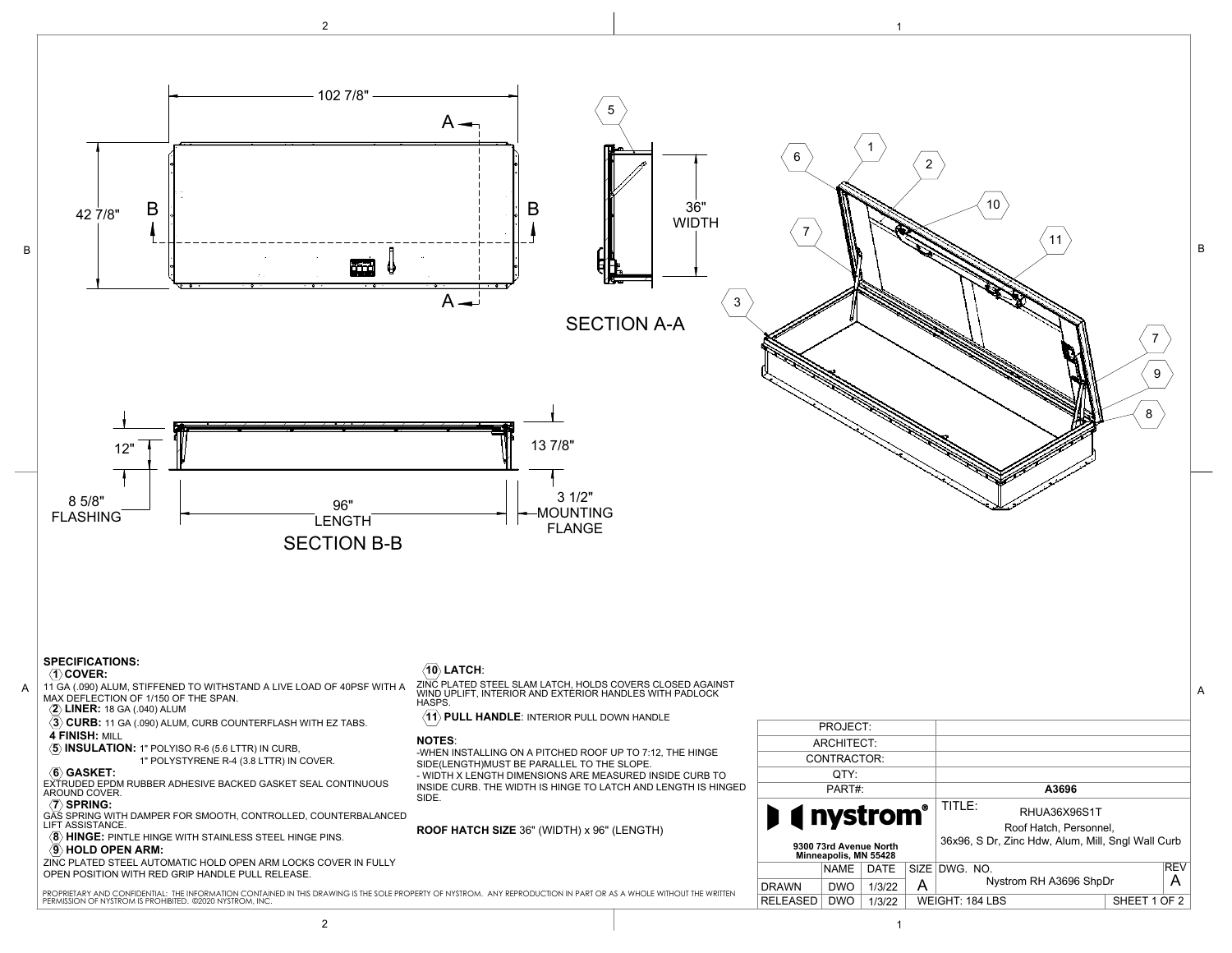